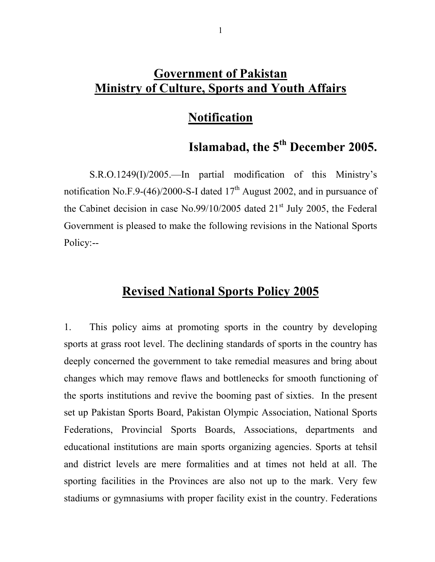# **Government of Pakistan Ministry of Culture, Sports and Youth Affairs**

# **Notification**

# **Islamabad, the 5th December 2005.**

S.R.O.1249(I)/2005.—In partial modification of this Ministry's notification No.F.9-(46)/2000-S-I dated  $17<sup>th</sup>$  August 2002, and in pursuance of the Cabinet decision in case No.99/10/2005 dated  $21<sup>st</sup>$  July 2005, the Federal Government is pleased to make the following revisions in the National Sports Policy:--

# **Revised National Sports Policy 2005**

1. This policy aims at promoting sports in the country by developing sports at grass root level. The declining standards of sports in the country has deeply concerned the government to take remedial measures and bring about changes which may remove flaws and bottlenecks for smooth functioning of the sports institutions and revive the booming past of sixties. In the present set up Pakistan Sports Board, Pakistan Olympic Association, National Sports Federations, Provincial Sports Boards, Associations, departments and educational institutions are main sports organizing agencies. Sports at tehsil and district levels are mere formalities and at times not held at all. The sporting facilities in the Provinces are also not up to the mark. Very few stadiums or gymnasiums with proper facility exist in the country. Federations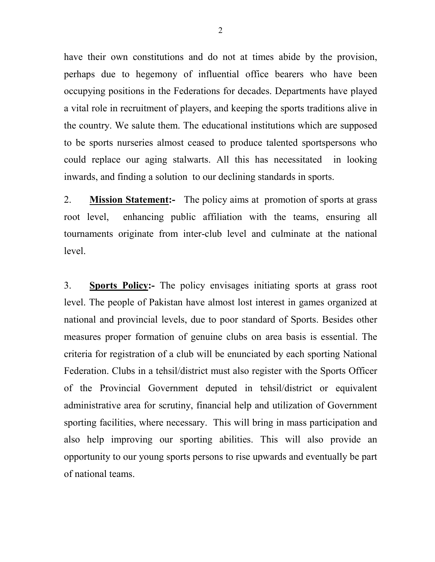have their own constitutions and do not at times abide by the provision, perhaps due to hegemony of influential office bearers who have been occupying positions in the Federations for decades. Departments have played a vital role in recruitment of players, and keeping the sports traditions alive in the country. We salute them. The educational institutions which are supposed to be sports nurseries almost ceased to produce talented sportspersons who could replace our aging stalwarts. All this has necessitated in looking inwards, and finding a solution to our declining standards in sports.

2. **Mission Statement:-** The policy aims at promotion of sports at grass root level, enhancing public affiliation with the teams, ensuring all tournaments originate from inter-club level and culminate at the national level.

3. **Sports Policy:-** The policy envisages initiating sports at grass root level. The people of Pakistan have almost lost interest in games organized at national and provincial levels, due to poor standard of Sports. Besides other measures proper formation of genuine clubs on area basis is essential. The criteria for registration of a club will be enunciated by each sporting National Federation. Clubs in a tehsil/district must also register with the Sports Officer of the Provincial Government deputed in tehsil/district or equivalent administrative area for scrutiny, financial help and utilization of Government sporting facilities, where necessary. This will bring in mass participation and also help improving our sporting abilities. This will also provide an opportunity to our young sports persons to rise upwards and eventually be part of national teams.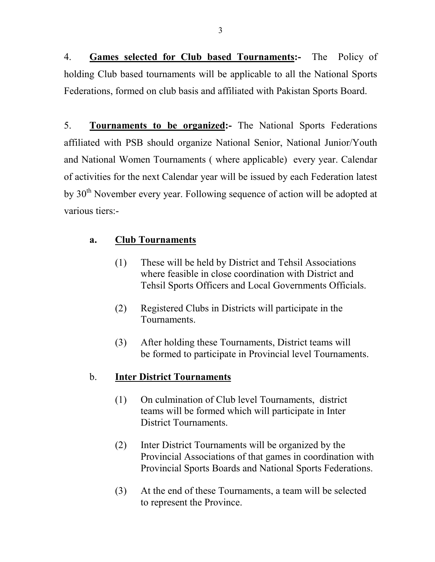4. **Games selected for Club based Tournaments:-** The Policy of holding Club based tournaments will be applicable to all the National Sports Federations, formed on club basis and affiliated with Pakistan Sports Board.

5. **Tournaments to be organized:-** The National Sports Federations affiliated with PSB should organize National Senior, National Junior/Youth and National Women Tournaments ( where applicable) every year. Calendar of activities for the next Calendar year will be issued by each Federation latest by 30<sup>th</sup> November every year. Following sequence of action will be adopted at various tiers:-

## **a. Club Tournaments**

- (1) These will be held by District and Tehsil Associations where feasible in close coordination with District and Tehsil Sports Officers and Local Governments Officials.
- (2) Registered Clubs in Districts will participate in the Tournaments.
- (3) After holding these Tournaments, District teams will be formed to participate in Provincial level Tournaments.

## b. **Inter District Tournaments**

- (1) On culmination of Club level Tournaments, district teams will be formed which will participate in Inter District Tournaments.
- (2) Inter District Tournaments will be organized by the Provincial Associations of that games in coordination with Provincial Sports Boards and National Sports Federations.
- (3) At the end of these Tournaments, a team will be selected to represent the Province.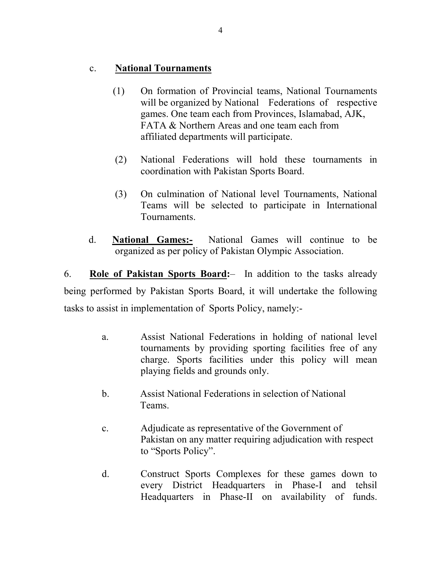#### c. **National Tournaments**

- (1) On formation of Provincial teams, National Tournaments will be organized by National Federations of respective games. One team each from Provinces, Islamabad, AJK, FATA & Northern Areas and one team each from affiliated departments will participate.
- (2) National Federations will hold these tournaments in coordination with Pakistan Sports Board.
- (3) On culmination of National level Tournaments, National Teams will be selected to participate in International Tournaments.
- d. **National Games:-** National Games will continue to be organized as per policy of Pakistan Olympic Association.

6. **Role of Pakistan Sports Board:**– In addition to the tasks already being performed by Pakistan Sports Board, it will undertake the following tasks to assist in implementation of Sports Policy, namely:-

- a. Assist National Federations in holding of national level tournaments by providing sporting facilities free of any charge. Sports facilities under this policy will mean playing fields and grounds only.
- b. Assist National Federations in selection of National Teams.
- c. Adjudicate as representative of the Government of Pakistan on any matter requiring adjudication with respect to "Sports Policy".
- d. Construct Sports Complexes for these games down to every District Headquarters in Phase-I and tehsil Headquarters in Phase-II on availability of funds.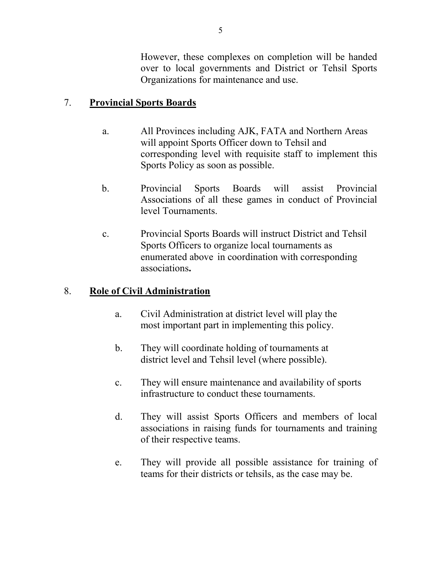However, these complexes on completion will be handed over to local governments and District or Tehsil Sports Organizations for maintenance and use.

## 7. **Provincial Sports Boards**

- a. All Provinces including AJK, FATA and Northern Areas will appoint Sports Officer down to Tehsil and corresponding level with requisite staff to implement this Sports Policy as soon as possible.
- b. Provincial Sports Boards will assist Provincial Associations of all these games in conduct of Provincial level Tournaments.
- c. Provincial Sports Boards will instruct District and Tehsil Sports Officers to organize local tournaments as enumerated above in coordination with corresponding associations**.**

### 8. **Role of Civil Administration**

- a. Civil Administration at district level will play the most important part in implementing this policy.
- b. They will coordinate holding of tournaments at district level and Tehsil level (where possible).
- c. They will ensure maintenance and availability of sports infrastructure to conduct these tournaments.
- d. They will assist Sports Officers and members of local associations in raising funds for tournaments and training of their respective teams.
- e. They will provide all possible assistance for training of teams for their districts or tehsils, as the case may be.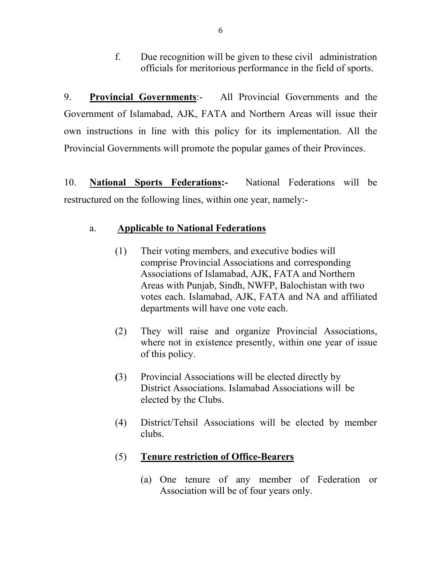f. Due recognition will be given to these civil administration officials for meritorious performance in the field of sports.

9. **Provincial Governments**:- All Provincial Governments and the Government of Islamabad, AJK, FATA and Northern Areas will issue their own instructions in line with this policy for its implementation. All the Provincial Governments will promote the popular games of their Provinces.

10. **National Sports Federations:-** National Federations will be restructured on the following lines, within one year, namely:-

#### a. **Applicable to National Federations**

- (1) Their voting members, and executive bodies will comprise Provincial Associations and corresponding Associations of Islamabad, AJK, FATA and Northern Areas with Punjab, Sindh, NWFP, Balochistan with two votes each. Islamabad, AJK, FATA and NA and affiliated departments will have one vote each.
- (2) They will raise and organize Provincial Associations, where not in existence presently, within one year of issue of this policy.
- **(**3) Provincial Associations will be elected directly by District Associations. Islamabad Associations will be elected by the Clubs.
- (4) District/Tehsil Associations will be elected by member clubs.

#### (5) **Tenure restriction of Office-Bearers**

 (a) One tenure of any member of Federation or Association will be of four years only.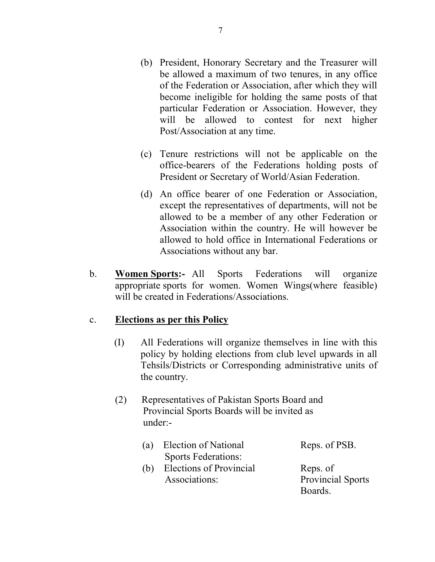- (b) President, Honorary Secretary and the Treasurer will be allowed a maximum of two tenures, in any office of the Federation or Association, after which they will become ineligible for holding the same posts of that particular Federation or Association. However, they will be allowed to contest for next higher Post/Association at any time.
- (c) Tenure restrictions will not be applicable on the office-bearers of the Federations holding posts of President or Secretary of World/Asian Federation.
- (d) An office bearer of one Federation or Association, except the representatives of departments, will not be allowed to be a member of any other Federation or Association within the country. He will however be allowed to hold office in International Federations or Associations without any bar.
- b. **Women Sports:-** All Sports Federations will organize appropriate sports for women. Women Wings(where feasible) will be created in Federations/Associations.

#### c. **Elections as per this Policy**

- (I) All Federations will organize themselves in line with this policy by holding elections from club level upwards in all Tehsils/Districts or Corresponding administrative units of the country.
- (2) Representatives of Pakistan Sports Board and Provincial Sports Boards will be invited as under:-
	- (a) Election of National Reps. of PSB. Sports Federations:
	- (b) Elections of Provincial Reps. of Associations: Provincial Sports

Boards.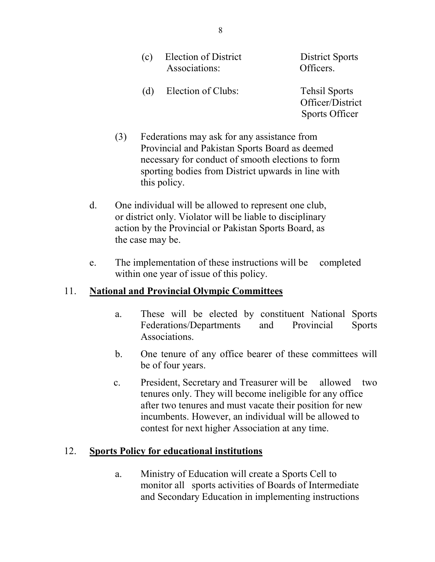| (c) Election of District | District S |
|--------------------------|------------|
| Associations:            | Officers.  |

District Sports

 (d) Election of Clubs: Tehsil Sports Officer/District Sports Officer

- (3) Federations may ask for any assistance from Provincial and Pakistan Sports Board as deemed necessary for conduct of smooth elections to form sporting bodies from District upwards in line with this policy.
- d. One individual will be allowed to represent one club, or district only. Violator will be liable to disciplinary action by the Provincial or Pakistan Sports Board, as the case may be.
- e. The implementation of these instructions will be completed within one year of issue of this policy.

### 11. **National and Provincial Olympic Committees**

- a. These will be elected by constituent National Sports Federations/Departments and Provincial Sports Associations.
- b. One tenure of any office bearer of these committees will be of four years.
- c. President, Secretary and Treasurer will be allowed two tenures only. They will become ineligible for any office after two tenures and must vacate their position for new incumbents. However, an individual will be allowed to contest for next higher Association at any time.

### 12. **Sports Policy for educational institutions**

 a. Ministry of Education will create a Sports Cell to monitor all sports activities of Boards of Intermediate and Secondary Education in implementing instructions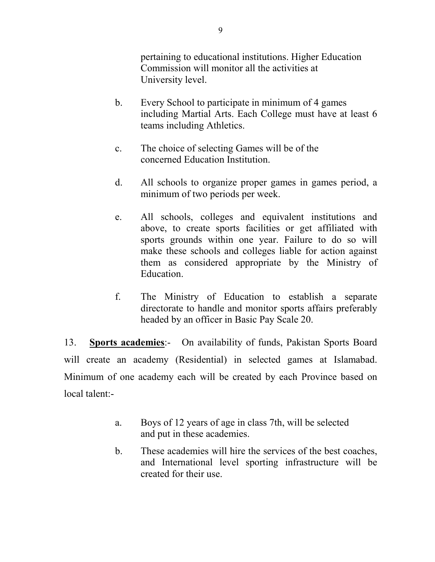pertaining to educational institutions. Higher Education Commission will monitor all the activities at University level.

- b. Every School to participate in minimum of 4 games including Martial Arts. Each College must have at least 6 teams including Athletics.
- c. The choice of selecting Games will be of the concerned Education Institution.
- d. All schools to organize proper games in games period, a minimum of two periods per week.
- e. All schools, colleges and equivalent institutions and above, to create sports facilities or get affiliated with sports grounds within one year. Failure to do so will make these schools and colleges liable for action against them as considered appropriate by the Ministry of Education.
- f. The Ministry of Education to establish a separate directorate to handle and monitor sports affairs preferably headed by an officer in Basic Pay Scale 20.

13. **Sports academies**:- On availability of funds, Pakistan Sports Board will create an academy (Residential) in selected games at Islamabad. Minimum of one academy each will be created by each Province based on local talent:-

- a. Boys of 12 years of age in class 7th, will be selected and put in these academies.
- b. These academies will hire the services of the best coaches, and International level sporting infrastructure will be created for their use.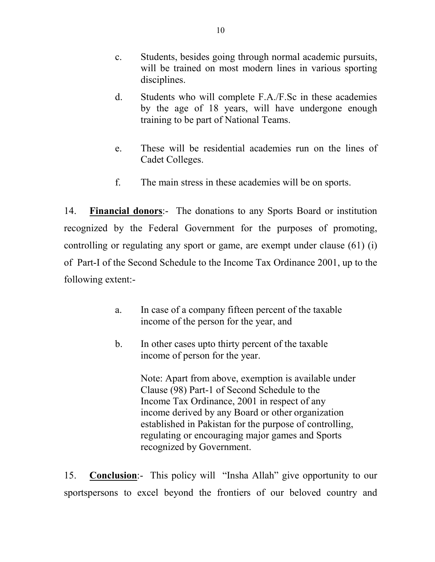- c. Students, besides going through normal academic pursuits, will be trained on most modern lines in various sporting disciplines.
- d. Students who will complete F.A./F.Sc in these academies by the age of 18 years, will have undergone enough training to be part of National Teams.
- e. These will be residential academies run on the lines of Cadet Colleges.
- f. The main stress in these academies will be on sports.

14. **Financial donors**:- The donations to any Sports Board or institution recognized by the Federal Government for the purposes of promoting, controlling or regulating any sport or game, are exempt under clause (61) (i) of Part-I of the Second Schedule to the Income Tax Ordinance 2001, up to the following extent:-

- a. In case of a company fifteen percent of the taxable income of the person for the year, and
- b. In other cases upto thirty percent of the taxable income of person for the year.

 Note: Apart from above, exemption is available under Clause (98) Part-1 of Second Schedule to the Income Tax Ordinance, 2001 in respect of any income derived by any Board or other organization established in Pakistan for the purpose of controlling, regulating or encouraging major games and Sports recognized by Government.

15. **Conclusion**:- This policy will "Insha Allah" give opportunity to our sportspersons to excel beyond the frontiers of our beloved country and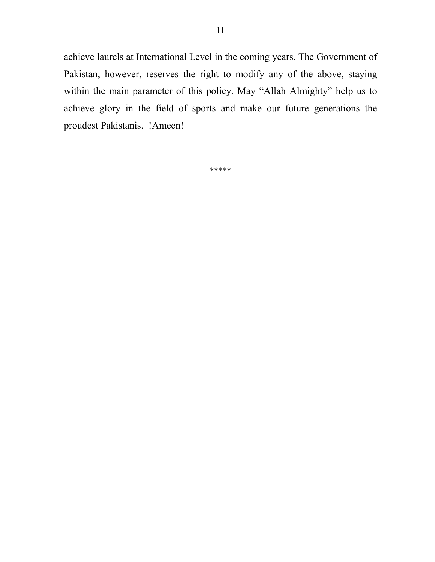achieve laurels at International Level in the coming years. The Government of Pakistan, however, reserves the right to modify any of the above, staying within the main parameter of this policy. May "Allah Almighty" help us to achieve glory in the field of sports and make our future generations the proudest Pakistanis. !Ameen!

\*\*\*\*\*